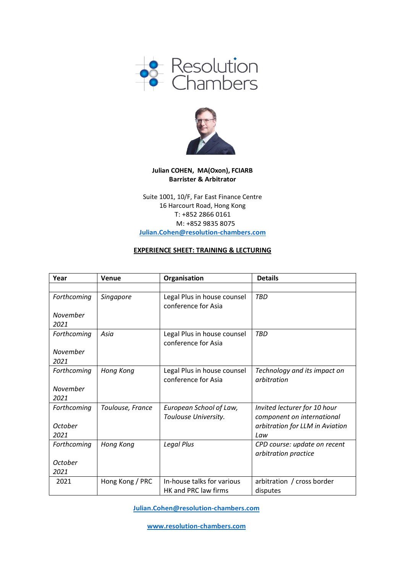



## **Julian COHEN, MA(Oxon), FCIARB Barrister & Arbitrator**

Suite 1001, 10/F, Far East Finance Centre 16 Harcourt Road, Hong Kong T: +852 2866 0161 M: +852 9835 8075 **[Julian.Cohen@resolution-chambers.com](mailto:Julian.Cohen@resolution-chambers.com)**

## **EXPERIENCE SHEET: TRAINING & LECTURING**

| Year        | Venue            | Organisation                | <b>Details</b>                  |
|-------------|------------------|-----------------------------|---------------------------------|
|             |                  |                             |                                 |
| Forthcoming | Singapore        | Legal Plus in house counsel | <b>TBD</b>                      |
|             |                  | conference for Asia         |                                 |
| November    |                  |                             |                                 |
| 2021        |                  |                             |                                 |
| Forthcoming | Asia             | Legal Plus in house counsel | <b>TBD</b>                      |
|             |                  | conference for Asia         |                                 |
| November    |                  |                             |                                 |
| 2021        |                  |                             |                                 |
| Forthcoming | Hong Kong        | Legal Plus in house counsel | Technology and its impact on    |
|             |                  | conference for Asia         | arbitration                     |
| November    |                  |                             |                                 |
| 2021        |                  |                             |                                 |
| Forthcoming | Toulouse, France | European School of Law,     | Invited lecturer for 10 hour    |
|             |                  | Toulouse University.        | component on international      |
| October     |                  |                             | arbitration for LLM in Aviation |
| 2021        |                  |                             | Law                             |
| Forthcoming | Hong Kong        | Legal Plus                  | CPD course: update on recent    |
|             |                  |                             | arbitration practice            |
| October     |                  |                             |                                 |
| 2021        |                  |                             |                                 |
| 2021        | Hong Kong / PRC  | In-house talks for various  | arbitration / cross border      |
|             |                  | HK and PRC law firms        | disputes                        |

**[Julian.Cohen@resolution-chambers.com](mailto:Julian.Cohen@resolution-chambers.com)**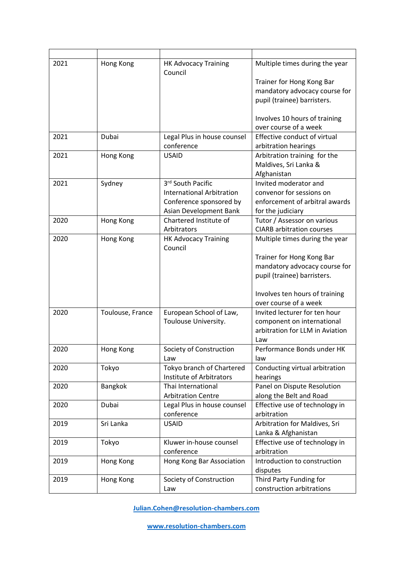| 2021 | Hong Kong        | HK Advocacy Training<br>Council        | Multiple times during the year   |
|------|------------------|----------------------------------------|----------------------------------|
|      |                  |                                        | Trainer for Hong Kong Bar        |
|      |                  |                                        | mandatory advocacy course for    |
|      |                  |                                        | pupil (trainee) barristers.      |
|      |                  |                                        | Involves 10 hours of training    |
|      |                  |                                        | over course of a week            |
| 2021 | Dubai            | Legal Plus in house counsel            | Effective conduct of virtual     |
|      |                  | conference                             | arbitration hearings             |
| 2021 | Hong Kong        | <b>USAID</b>                           | Arbitration training for the     |
|      |                  |                                        | Maldives, Sri Lanka &            |
|      |                  |                                        | Afghanistan                      |
| 2021 | Sydney           | 3rd South Pacific                      | Invited moderator and            |
|      |                  | <b>International Arbitration</b>       | convenor for sessions on         |
|      |                  | Conference sponsored by                | enforcement of arbitral awards   |
|      |                  | Asian Development Bank                 | for the judiciary                |
| 2020 | Hong Kong        | Chartered Institute of                 | Tutor / Assessor on various      |
|      |                  | Arbitrators                            | <b>CIARB</b> arbitration courses |
| 2020 | Hong Kong        | <b>HK Advocacy Training</b><br>Council | Multiple times during the year   |
|      |                  |                                        | Trainer for Hong Kong Bar        |
|      |                  |                                        | mandatory advocacy course for    |
|      |                  |                                        | pupil (trainee) barristers.      |
|      |                  |                                        |                                  |
|      |                  |                                        | Involves ten hours of training   |
|      |                  |                                        | over course of a week            |
| 2020 | Toulouse, France | European School of Law,                | Invited lecturer for ten hour    |
|      |                  | Toulouse University.                   | component on international       |
|      |                  |                                        | arbitration for LLM in Aviation  |
|      |                  |                                        | Law                              |
| 2020 | Hong Kong        | Society of Construction                | Performance Bonds under HK       |
|      |                  | Law                                    | law                              |
| 2020 | Tokyo            | Tokyo branch of Chartered              | Conducting virtual arbitration   |
|      |                  | Institute of Arbitrators               | hearings                         |
| 2020 | Bangkok          | Thai International                     | Panel on Dispute Resolution      |
|      |                  | <b>Arbitration Centre</b>              | along the Belt and Road          |
| 2020 | Dubai            | Legal Plus in house counsel            | Effective use of technology in   |
|      |                  | conference                             | arbitration                      |
| 2019 | Sri Lanka        | <b>USAID</b>                           | Arbitration for Maldives, Sri    |
|      |                  |                                        | Lanka & Afghanistan              |
| 2019 | Tokyo            | Kluwer in-house counsel                | Effective use of technology in   |
|      |                  | conference                             | arbitration                      |
| 2019 | Hong Kong        | Hong Kong Bar Association              | Introduction to construction     |
|      |                  |                                        | disputes                         |
| 2019 | Hong Kong        | Society of Construction                | Third Party Funding for          |
|      |                  | Law                                    | construction arbitrations        |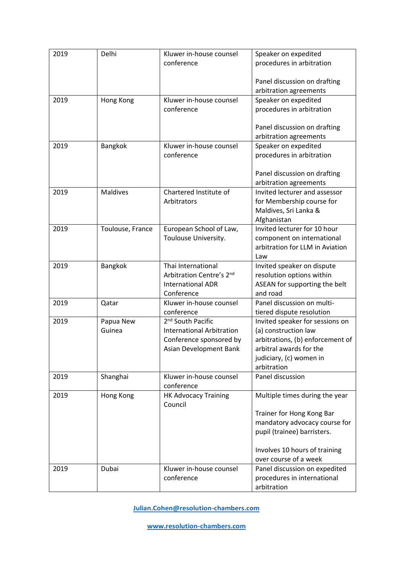| 2019 | Delhi            | Kluwer in-house counsel                                           | Speaker on expedited                                        |
|------|------------------|-------------------------------------------------------------------|-------------------------------------------------------------|
|      |                  | conference                                                        | procedures in arbitration                                   |
|      |                  |                                                                   |                                                             |
|      |                  |                                                                   | Panel discussion on drafting                                |
|      |                  |                                                                   | arbitration agreements                                      |
| 2019 | Hong Kong        | Kluwer in-house counsel                                           | Speaker on expedited                                        |
|      |                  | conference                                                        | procedures in arbitration                                   |
|      |                  |                                                                   |                                                             |
|      |                  |                                                                   | Panel discussion on drafting                                |
|      |                  |                                                                   | arbitration agreements                                      |
| 2019 | Bangkok          | Kluwer in-house counsel                                           | Speaker on expedited                                        |
|      |                  | conference                                                        | procedures in arbitration                                   |
|      |                  |                                                                   |                                                             |
|      |                  |                                                                   | Panel discussion on drafting                                |
|      |                  |                                                                   | arbitration agreements                                      |
| 2019 | <b>Maldives</b>  | Chartered Institute of                                            | Invited lecturer and assessor                               |
|      |                  | Arbitrators                                                       | for Membership course for                                   |
|      |                  |                                                                   | Maldives, Sri Lanka &                                       |
|      |                  |                                                                   | Afghanistan                                                 |
| 2019 | Toulouse, France | European School of Law,                                           | Invited lecturer for 10 hour                                |
|      |                  | Toulouse University.                                              | component on international                                  |
|      |                  |                                                                   | arbitration for LLM in Aviation                             |
|      |                  |                                                                   | Law                                                         |
| 2019 | <b>Bangkok</b>   | Thai International                                                | Invited speaker on dispute                                  |
|      |                  | Arbitration Centre's 2nd                                          | resolution options within                                   |
|      |                  | <b>International ADR</b>                                          | ASEAN for supporting the belt                               |
|      |                  | Conference                                                        | and road                                                    |
| 2019 | Qatar            | Kluwer in-house counsel                                           | Panel discussion on multi-                                  |
|      |                  | conference                                                        | tiered dispute resolution                                   |
| 2019 | Papua New        | 2 <sup>nd</sup> South Pacific<br><b>International Arbitration</b> | Invited speaker for sessions on                             |
|      | Guinea           |                                                                   | (a) construction law                                        |
|      |                  | Conference sponsored by                                           | arbitrations, (b) enforcement of<br>arbitral awards for the |
|      |                  | Asian Development Bank                                            |                                                             |
|      |                  |                                                                   | judiciary, (c) women in<br>arbitration                      |
| 2019 | Shanghai         | Kluwer in-house counsel                                           | Panel discussion                                            |
|      |                  | conference                                                        |                                                             |
| 2019 | Hong Kong        | <b>HK Advocacy Training</b>                                       | Multiple times during the year                              |
|      |                  | Council                                                           |                                                             |
|      |                  |                                                                   | Trainer for Hong Kong Bar                                   |
|      |                  |                                                                   | mandatory advocacy course for                               |
|      |                  |                                                                   | pupil (trainee) barristers.                                 |
|      |                  |                                                                   |                                                             |
|      |                  |                                                                   | Involves 10 hours of training                               |
|      |                  |                                                                   | over course of a week                                       |
| 2019 | Dubai            | Kluwer in-house counsel                                           | Panel discussion on expedited                               |
|      |                  | conference                                                        | procedures in international                                 |
|      |                  |                                                                   | arbitration                                                 |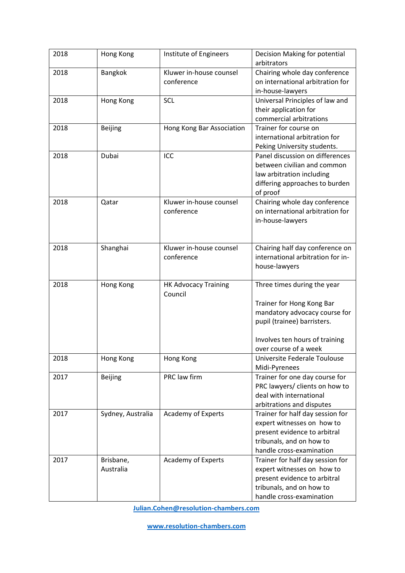| 2018 | Hong Kong              | Institute of Engineers                 | Decision Making for potential<br>arbitrators                                                                                                                                        |
|------|------------------------|----------------------------------------|-------------------------------------------------------------------------------------------------------------------------------------------------------------------------------------|
| 2018 | Bangkok                | Kluwer in-house counsel<br>conference  | Chairing whole day conference<br>on international arbitration for<br>in-house-lawyers                                                                                               |
| 2018 | Hong Kong              | SCL                                    | Universal Principles of law and<br>their application for<br>commercial arbitrations                                                                                                 |
| 2018 | <b>Beijing</b>         | Hong Kong Bar Association              | Trainer for course on<br>international arbitration for<br>Peking University students.                                                                                               |
| 2018 | Dubai                  | ICC                                    | Panel discussion on differences<br>between civilian and common<br>law arbitration including<br>differing approaches to burden<br>of proof                                           |
| 2018 | Qatar                  | Kluwer in-house counsel<br>conference  | Chairing whole day conference<br>on international arbitration for<br>in-house-lawyers                                                                                               |
| 2018 | Shanghai               | Kluwer in-house counsel<br>conference  | Chairing half day conference on<br>international arbitration for in-<br>house-lawyers                                                                                               |
| 2018 | Hong Kong              | <b>HK Advocacy Training</b><br>Council | Three times during the year<br>Trainer for Hong Kong Bar<br>mandatory advocacy course for<br>pupil (trainee) barristers.<br>Involves ten hours of training<br>over course of a week |
| 2018 | Hong Kong              | Hong Kong                              | Universite Federale Toulouse<br>Midi-Pyrenees                                                                                                                                       |
| 2017 | <b>Beijing</b>         | PRC law firm                           | Trainer for one day course for<br>PRC lawyers/ clients on how to<br>deal with international<br>arbitrations and disputes                                                            |
| 2017 | Sydney, Australia      | Academy of Experts                     | Trainer for half day session for<br>expert witnesses on how to<br>present evidence to arbitral<br>tribunals, and on how to<br>handle cross-examination                              |
| 2017 | Brisbane,<br>Australia | Academy of Experts                     | Trainer for half day session for<br>expert witnesses on how to<br>present evidence to arbitral<br>tribunals, and on how to<br>handle cross-examination                              |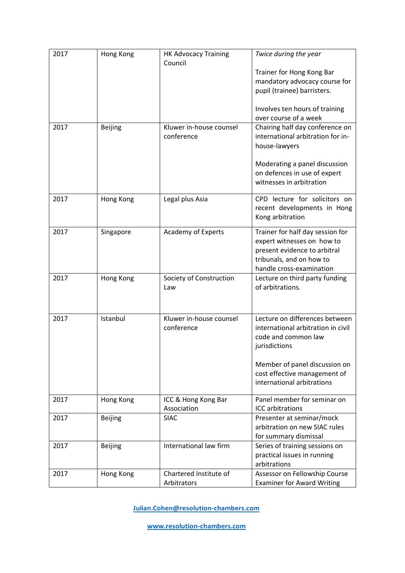| 2017 | Hong Kong      | <b>HK Advocacy Training</b><br>Council | Twice during the year                                              |
|------|----------------|----------------------------------------|--------------------------------------------------------------------|
|      |                |                                        | Trainer for Hong Kong Bar                                          |
|      |                |                                        | mandatory advocacy course for                                      |
|      |                |                                        | pupil (trainee) barristers.                                        |
|      |                |                                        | Involves ten hours of training                                     |
|      |                |                                        | over course of a week                                              |
| 2017 | Beijing        | Kluwer in-house counsel                | Chairing half day conference on                                    |
|      |                | conference                             | international arbitration for in-<br>house-lawyers                 |
|      |                |                                        |                                                                    |
|      |                |                                        | Moderating a panel discussion                                      |
|      |                |                                        | on defences in use of expert                                       |
|      |                |                                        | witnesses in arbitration                                           |
| 2017 | Hong Kong      | Legal plus Asia                        | CPD lecture for solicitors on                                      |
|      |                |                                        | recent developments in Hong                                        |
|      |                |                                        | Kong arbitration                                                   |
| 2017 | Singapore      | Academy of Experts                     | Trainer for half day session for                                   |
|      |                |                                        | expert witnesses on how to                                         |
|      |                |                                        | present evidence to arbitral                                       |
|      |                |                                        | tribunals, and on how to<br>handle cross-examination               |
| 2017 | Hong Kong      | Society of Construction                | Lecture on third party funding                                     |
|      |                | Law                                    | of arbitrations.                                                   |
|      |                |                                        |                                                                    |
|      |                |                                        |                                                                    |
| 2017 | Istanbul       | Kluwer in-house counsel                | Lecture on differences between                                     |
|      |                | conference                             | international arbitration in civil<br>code and common law          |
|      |                |                                        | jurisdictions                                                      |
|      |                |                                        |                                                                    |
|      |                |                                        | Member of panel discussion on                                      |
|      |                |                                        | cost effective management of                                       |
|      |                |                                        | international arbitrations                                         |
| 2017 | Hong Kong      | ICC & Hong Kong Bar<br>Association     | Panel member for seminar on<br><b>ICC</b> arbitrations             |
| 2017 | <b>Beijing</b> | <b>SIAC</b>                            | Presenter at seminar/mock                                          |
|      |                |                                        | arbitration on new SIAC rules                                      |
|      |                |                                        | for summary dismissal                                              |
| 2017 | <b>Beijing</b> | International law firm                 | Series of training sessions on                                     |
|      |                |                                        | practical issues in running                                        |
|      |                |                                        | arbitrations                                                       |
| 2017 | Hong Kong      | Chartered Institute of<br>Arbitrators  | Assessor on Fellowship Course<br><b>Examiner for Award Writing</b> |
|      |                |                                        |                                                                    |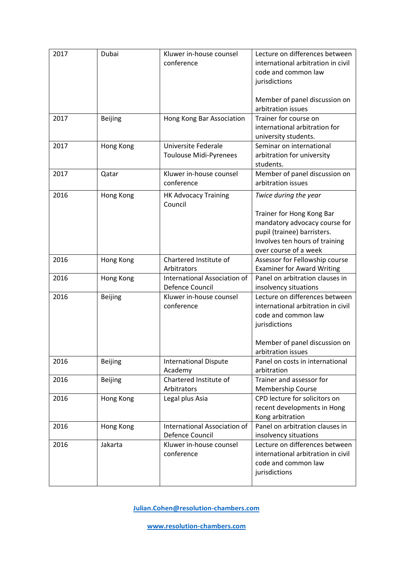| 2017 | Dubai          | Kluwer in-house counsel<br>conference           | Lecture on differences between<br>international arbitration in civil<br>code and common law<br>jurisdictions                                         |
|------|----------------|-------------------------------------------------|------------------------------------------------------------------------------------------------------------------------------------------------------|
|      |                |                                                 | Member of panel discussion on<br>arbitration issues                                                                                                  |
| 2017 | <b>Beijing</b> | Hong Kong Bar Association                       | Trainer for course on<br>international arbitration for<br>university students.                                                                       |
| 2017 | Hong Kong      | Universite Federale<br>Toulouse Midi-Pyrenees   | Seminar on international<br>arbitration for university<br>students.                                                                                  |
| 2017 | Qatar          | Kluwer in-house counsel<br>conference           | Member of panel discussion on<br>arbitration issues                                                                                                  |
| 2016 | Hong Kong      | <b>HK Advocacy Training</b><br>Council          | Twice during the year                                                                                                                                |
|      |                |                                                 | Trainer for Hong Kong Bar<br>mandatory advocacy course for<br>pupil (trainee) barristers.<br>Involves ten hours of training<br>over course of a week |
| 2016 | Hong Kong      | Chartered Institute of<br>Arbitrators           | Assessor for Fellowship course<br><b>Examiner for Award Writing</b>                                                                                  |
| 2016 | Hong Kong      | International Association of<br>Defence Council | Panel on arbitration clauses in<br>insolvency situations                                                                                             |
| 2016 | <b>Beijing</b> | Kluwer in-house counsel<br>conference           | Lecture on differences between<br>international arbitration in civil<br>code and common law<br>jurisdictions<br>Member of panel discussion on        |
| 2016 | <b>Beijing</b> | <b>International Dispute</b><br>Academy         | arbitration issues<br>Panel on costs in international<br>arbitration                                                                                 |
| 2016 | <b>Beijing</b> | Chartered Institute of<br>Arbitrators           | Trainer and assessor for<br><b>Membership Course</b>                                                                                                 |
| 2016 | Hong Kong      | Legal plus Asia                                 | CPD lecture for solicitors on<br>recent developments in Hong<br>Kong arbitration                                                                     |
| 2016 | Hong Kong      | International Association of<br>Defence Council | Panel on arbitration clauses in<br>insolvency situations                                                                                             |
| 2016 | Jakarta        | Kluwer in-house counsel<br>conference           | Lecture on differences between<br>international arbitration in civil<br>code and common law<br>jurisdictions                                         |